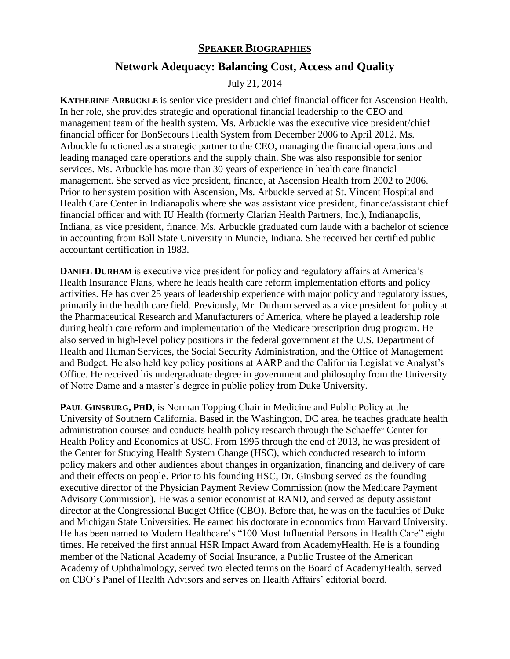## **SPEAKER BIOGRAPHIES**

## **Network Adequacy: Balancing Cost, Access and Quality**

July 21, 2014

**KATHERINE ARBUCKLE** is senior vice president and chief financial officer for Ascension Health. In her role, she provides strategic and operational financial leadership to the CEO and management team of the health system. Ms. Arbuckle was the executive vice president/chief financial officer for BonSecours Health System from December 2006 to April 2012. Ms. Arbuckle functioned as a strategic partner to the CEO, managing the financial operations and leading managed care operations and the supply chain. She was also responsible for senior services. Ms. Arbuckle has more than 30 years of experience in health care financial management. She served as vice president, finance, at Ascension Health from 2002 to 2006. Prior to her system position with Ascension, Ms. Arbuckle served at St. Vincent Hospital and Health Care Center in Indianapolis where she was assistant vice president, finance/assistant chief financial officer and with IU Health (formerly Clarian Health Partners, Inc.), Indianapolis, Indiana, as vice president, finance. Ms. Arbuckle graduated cum laude with a bachelor of science in accounting from Ball State University in Muncie, Indiana. She received her certified public accountant certification in 1983.

**DANIEL DURHAM** is executive vice president for policy and regulatory affairs at America's Health Insurance Plans, where he leads health care reform implementation efforts and policy activities. He has over 25 years of leadership experience with major policy and regulatory issues, primarily in the health care field. Previously, Mr. Durham served as a vice president for policy at the Pharmaceutical Research and Manufacturers of America, where he played a leadership role during health care reform and implementation of the Medicare prescription drug program. He also served in high-level policy positions in the federal government at the U.S. Department of Health and Human Services, the Social Security Administration, and the Office of Management and Budget. He also held key policy positions at AARP and the California Legislative Analyst's Office. He received his undergraduate degree in government and philosophy from the University of Notre Dame and a master's degree in public policy from Duke University.

**PAUL GINSBURG, PHD**, is Norman Topping Chair in Medicine and Public Policy at the University of Southern California. Based in the Washington, DC area, he teaches graduate health administration courses and conducts health policy research through the Schaeffer Center for Health Policy and Economics at USC. From 1995 through the end of 2013, he was president of the Center for Studying Health System Change (HSC), which conducted research to inform policy makers and other audiences about changes in organization, financing and delivery of care and their effects on people. Prior to his founding HSC, Dr. Ginsburg served as the founding executive director of the Physician Payment Review Commission (now the Medicare Payment Advisory Commission). He was a senior economist at RAND, and served as deputy assistant director at the Congressional Budget Office (CBO). Before that, he was on the faculties of Duke and Michigan State Universities. He earned his doctorate in economics from Harvard University. He has been named to Modern Healthcare's "100 Most Influential Persons in Health Care" eight times. He received the first annual HSR Impact Award from AcademyHealth. He is a founding member of the National Academy of Social Insurance, a Public Trustee of the American Academy of Ophthalmology, served two elected terms on the Board of AcademyHealth, served on CBO's Panel of Health Advisors and serves on Health Affairs' editorial board.